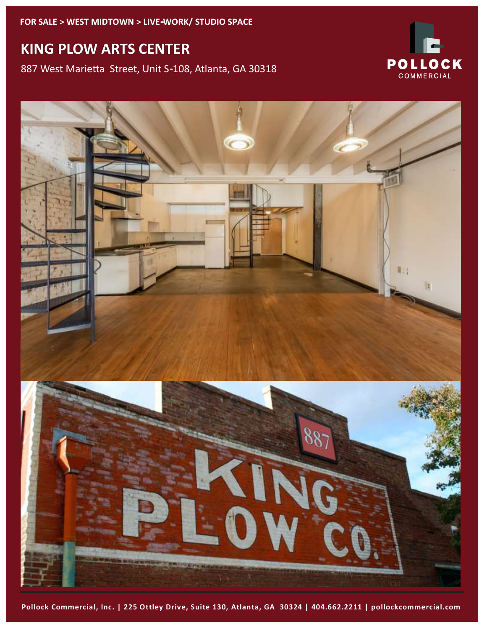# **KING PLOW ARTS CENTER**

887 West Marietta Street, Unit S-108, Atlanta, GA 30318





**Pollock Commercial, Inc. | 225 Ottley Drive, Suite 130, Atlanta, GA 30324 | 404.662.2211 | pollockcommercial.com**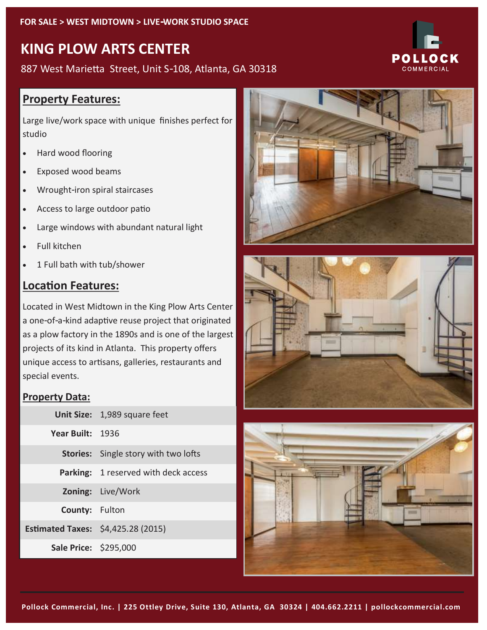# **KING PLOW ARTS CENTER**

887 West Marietta Street, Unit S-108, Atlanta, GA 30318

### **Property Features:**

Large live/work space with unique finishes perfect for studio

- Hard wood flooring
- Exposed wood beams
- Wrought-iron spiral staircases
- Access to large outdoor patio
- Large windows with abundant natural light
- Full kitchen
- 1 Full bath with tub/shower

### **Location Features:**

Located in West Midtown in the King Plow Arts Center a one-of-a-kind adaptive reuse project that originated as a plow factory in the 1890s and is one of the largest projects of its kind in Atlanta. This property offers unique access to artisans, galleries, restaurants and special events.

### **Property Data:**

|                                    | Unit Size: 1,989 square feet                |
|------------------------------------|---------------------------------------------|
| Year Built: 1936                   |                                             |
|                                    | <b>Stories:</b> Single story with two lofts |
|                                    | <b>Parking:</b> 1 reserved with deck access |
|                                    | Zoning: Live/Work                           |
| County: Fulton                     |                                             |
| Estimated Taxes: \$4,425.28 (2015) |                                             |
| Sale Price: \$295,000              |                                             |







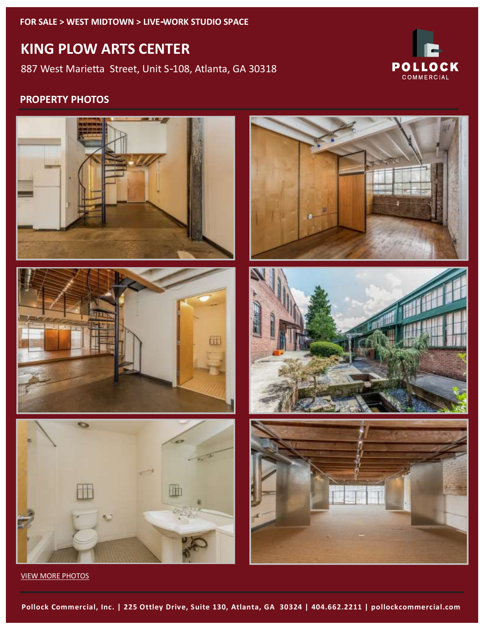**FOR SALE > WEST MIDTOWN > LIVE-WORK STUDIO SPACE**

# **KING PLOW ARTS CENTER**

887 West Marietta Street, Unit S-108, Atlanta, GA 30318



### **PROPERTY PHOTOS**



[VIEW MORE PHOTOS](https://goo.gl/photos/LSkQMpPyeRsoZaGh9)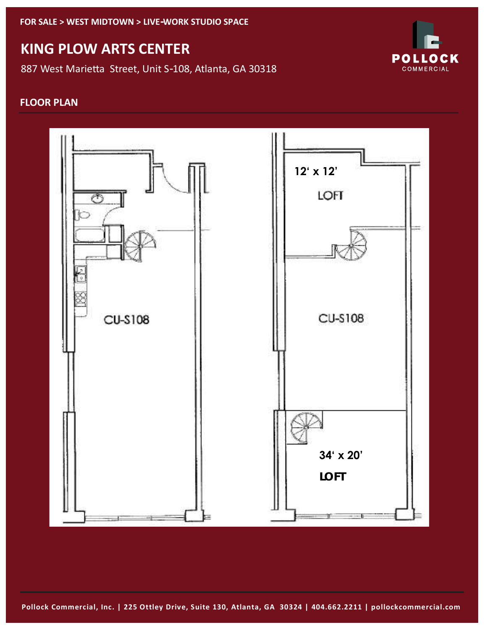**FOR SALE > WEST MIDTOWN > LIVE-WORK STUDIO SPACE**

## **KING PLOW ARTS CENTER**

887 West Marietta Street, Unit S-108, Atlanta, GA 30318



#### **FLOOR PLAN**



**Pollock Commercial, Inc. | 225 Ottley Drive, Suite 130, Atlanta, GA 30324 | 404.662.2211 | pollockcommercial.com**